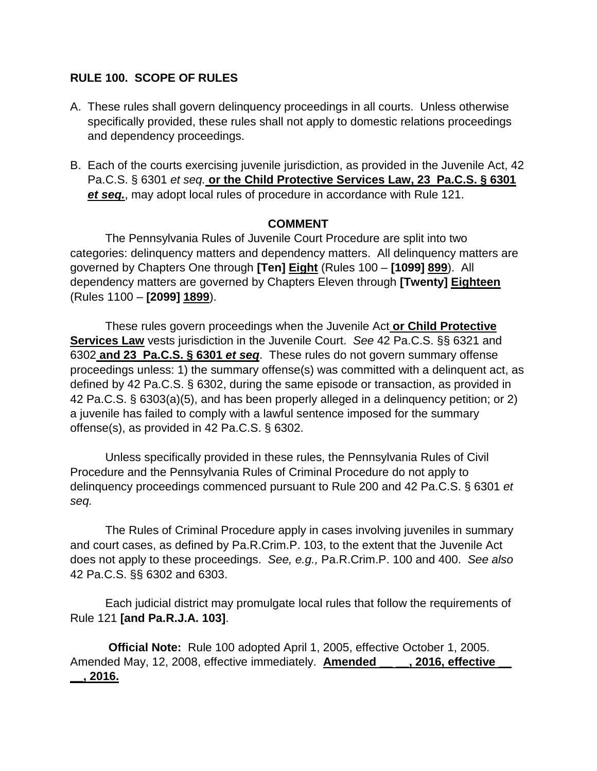# **RULE 100. SCOPE OF RULES**

- A. These rules shall govern delinquency proceedings in all courts. Unless otherwise specifically provided, these rules shall not apply to domestic relations proceedings and dependency proceedings.
- B. Each of the courts exercising juvenile jurisdiction, as provided in the Juvenile Act, 42 Pa.C.S. § 6301 *et seq.* **or the Child Protective Services Law, 23 Pa.C.S. § 6301**  *et seq.*, may adopt local rules of procedure in accordance with Rule 121.

#### **COMMENT**

The Pennsylvania Rules of Juvenile Court Procedure are split into two categories: delinquency matters and dependency matters. All delinquency matters are governed by Chapters One through **[Ten] Eight** (Rules 100 – **[1099] 899**). All dependency matters are governed by Chapters Eleven through **[Twenty] Eighteen** (Rules 1100 – **[2099] 1899**).

These rules govern proceedings when the Juvenile Act **or Child Protective Services Law** vests jurisdiction in the Juvenile Court. *See* 42 Pa.C.S. §§ 6321 and 6302 **and 23 Pa.C.S. § 6301** *et seq*. These rules do not govern summary offense proceedings unless: 1) the summary offense(s) was committed with a delinquent act, as defined by 42 Pa.C.S. § 6302, during the same episode or transaction, as provided in 42 Pa.C.S. § 6303(a)(5), and has been properly alleged in a delinquency petition; or 2) a juvenile has failed to comply with a lawful sentence imposed for the summary offense(s), as provided in 42 Pa.C.S. § 6302.

Unless specifically provided in these rules, the Pennsylvania Rules of Civil Procedure and the Pennsylvania Rules of Criminal Procedure do not apply to delinquency proceedings commenced pursuant to Rule 200 and 42 Pa.C.S. § 6301 *et seq.*

The Rules of Criminal Procedure apply in cases involving juveniles in summary and court cases, as defined by Pa.R.Crim.P. 103, to the extent that the Juvenile Act does not apply to these proceedings. *See, e.g.,* Pa.R.Crim.P. 100 and 400. *See also* 42 Pa.C.S. §§ 6302 and 6303.

Each judicial district may promulgate local rules that follow the requirements of Rule 121 **[and Pa.R.J.A. 103]**.

**Official Note:** Rule 100 adopted April 1, 2005, effective October 1, 2005. Amended May, 12, 2008, effective immediately. **Amended** , 2016, effective **\_\_, 2016.**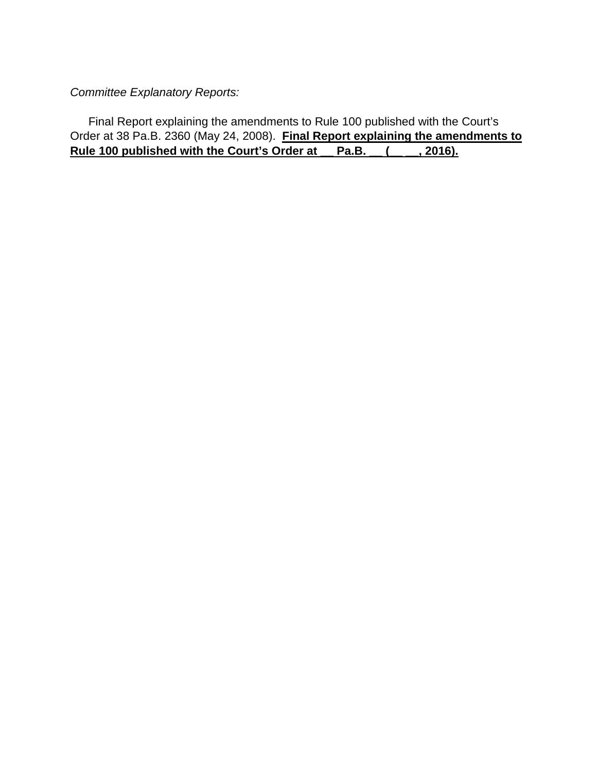*Committee Explanatory Reports:*

Final Report explaining the amendments to Rule 100 published with the Court's Order at 38 Pa.B. 2360 (May 24, 2008). **Final Report explaining the amendments to Rule 100 published with the Court's Order at \_\_ Pa.B. \_\_ (\_\_ \_\_, 2016).**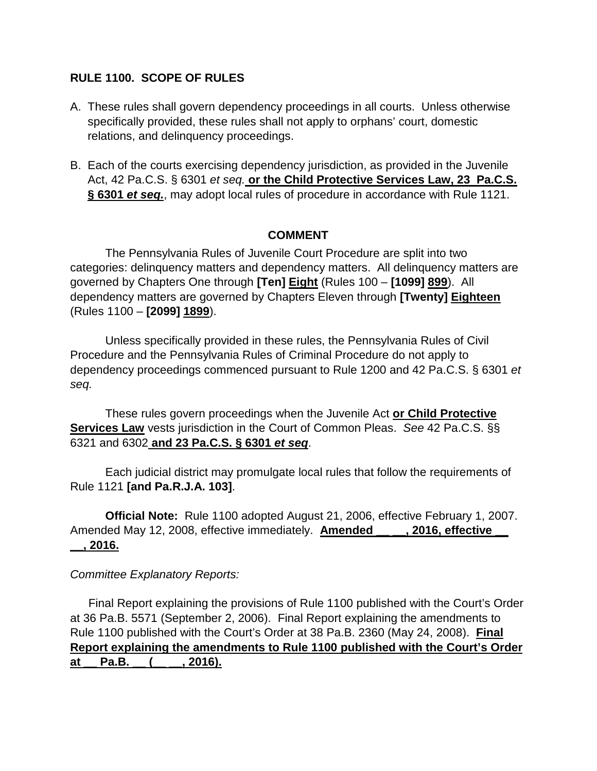# **RULE 1100. SCOPE OF RULES**

- A. These rules shall govern dependency proceedings in all courts. Unless otherwise specifically provided, these rules shall not apply to orphans' court, domestic relations, and delinquency proceedings.
- B. Each of the courts exercising dependency jurisdiction, as provided in the Juvenile Act, 42 Pa.C.S. § 6301 *et seq.* **or the Child Protective Services Law, 23 Pa.C.S. § 6301** *et seq.*, may adopt local rules of procedure in accordance with Rule 1121.

#### **COMMENT**

The Pennsylvania Rules of Juvenile Court Procedure are split into two categories: delinquency matters and dependency matters. All delinquency matters are governed by Chapters One through **[Ten] Eight** (Rules 100 – **[1099] 899**). All dependency matters are governed by Chapters Eleven through **[Twenty] Eighteen** (Rules 1100 – **[2099] 1899**).

Unless specifically provided in these rules, the Pennsylvania Rules of Civil Procedure and the Pennsylvania Rules of Criminal Procedure do not apply to dependency proceedings commenced pursuant to Rule 1200 and 42 Pa.C.S. § 6301 *et seq.*

These rules govern proceedings when the Juvenile Act **or Child Protective Services Law** vests jurisdiction in the Court of Common Pleas. *See* 42 Pa.C.S. §§ 6321 and 6302 **and 23 Pa.C.S. § 6301** *et seq*.

Each judicial district may promulgate local rules that follow the requirements of Rule 1121 **[and Pa.R.J.A. 103]**.

**Official Note:** Rule 1100 adopted August 21, 2006, effective February 1, 2007. Amended May 12, 2008, effective immediately. **Amended** , 2016, effective **\_\_, 2016.**

### *Committee Explanatory Reports:*

Final Report explaining the provisions of Rule 1100 published with the Court's Order at 36 Pa.B. 5571 (September 2, 2006). Final Report explaining the amendments to Rule 1100 published with the Court's Order at 38 Pa.B. 2360 (May 24, 2008). **Final Report explaining the amendments to Rule 1100 published with the Court's Order**  at Pa.B. (, 2016).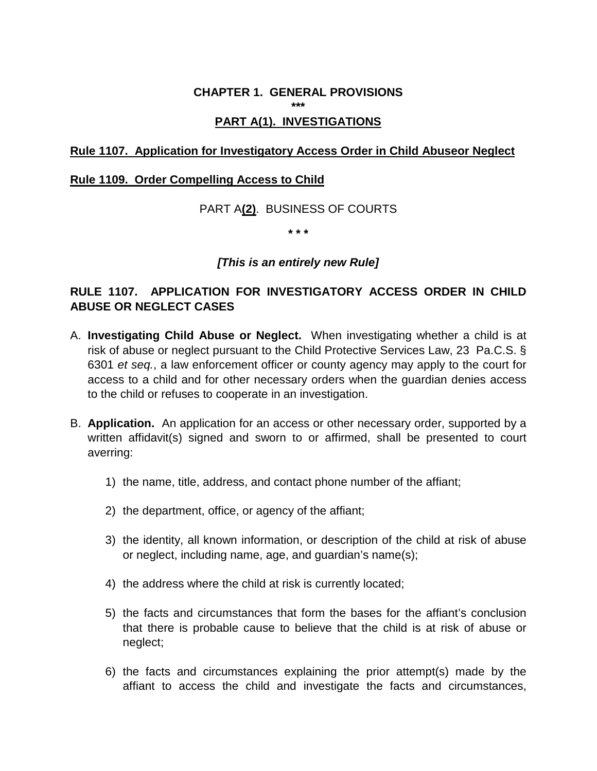### **CHAPTER 1. GENERAL PROVISIONS**

**\*\*\***

### **PART A(1). INVESTIGATIONS**

#### **Rule 1107. Application for Investigatory Access Order in Child Abuseor Neglect**

#### **Rule 1109. Order Compelling Access to Child**

PART A**(2)**. BUSINESS OF COURTS

**\* \* \***

#### *[This is an entirely new Rule]*

# **RULE 1107. APPLICATION FOR INVESTIGATORY ACCESS ORDER IN CHILD ABUSE OR NEGLECT CASES**

- A. **Investigating Child Abuse or Neglect.** When investigating whether a child is at risk of abuse or neglect pursuant to the Child Protective Services Law, 23 Pa.C.S. § 6301 *et seq.*, a law enforcement officer or county agency may apply to the court for access to a child and for other necessary orders when the guardian denies access to the child or refuses to cooperate in an investigation.
- B. **Application.** An application for an access or other necessary order, supported by a written affidavit(s) signed and sworn to or affirmed, shall be presented to court averring:
	- 1) the name, title, address, and contact phone number of the affiant;
	- 2) the department, office, or agency of the affiant;
	- 3) the identity, all known information, or description of the child at risk of abuse or neglect, including name, age, and guardian's name(s);
	- 4) the address where the child at risk is currently located;
	- 5) the facts and circumstances that form the bases for the affiant's conclusion that there is probable cause to believe that the child is at risk of abuse or neglect;
	- 6) the facts and circumstances explaining the prior attempt(s) made by the affiant to access the child and investigate the facts and circumstances,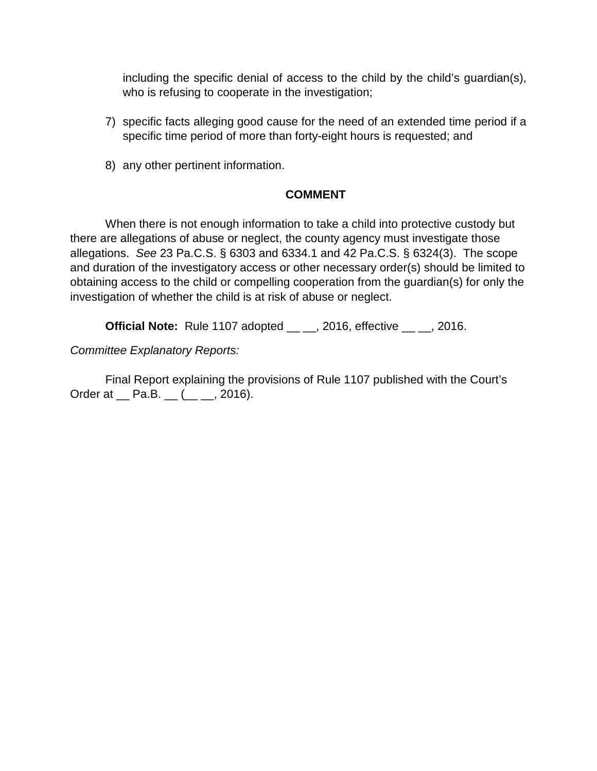including the specific denial of access to the child by the child's guardian(s), who is refusing to cooperate in the investigation;

- 7) specific facts alleging good cause for the need of an extended time period if a specific time period of more than forty-eight hours is requested; and
- 8) any other pertinent information.

# **COMMENT**

When there is not enough information to take a child into protective custody but there are allegations of abuse or neglect, the county agency must investigate those allegations. *See* 23 Pa.C.S. § 6303 and 6334.1 and 42 Pa.C.S. § 6324(3). The scope and duration of the investigatory access or other necessary order(s) should be limited to obtaining access to the child or compelling cooperation from the guardian(s) for only the investigation of whether the child is at risk of abuse or neglect.

**Official Note:** Rule 1107 adopted \_\_ \_\_, 2016, effective \_\_ \_\_, 2016.

*Committee Explanatory Reports:*

Final Report explaining the provisions of Rule 1107 published with the Court's Order at  $\_$  Pa.B.  $\_$  ( $\_$ , 2016).